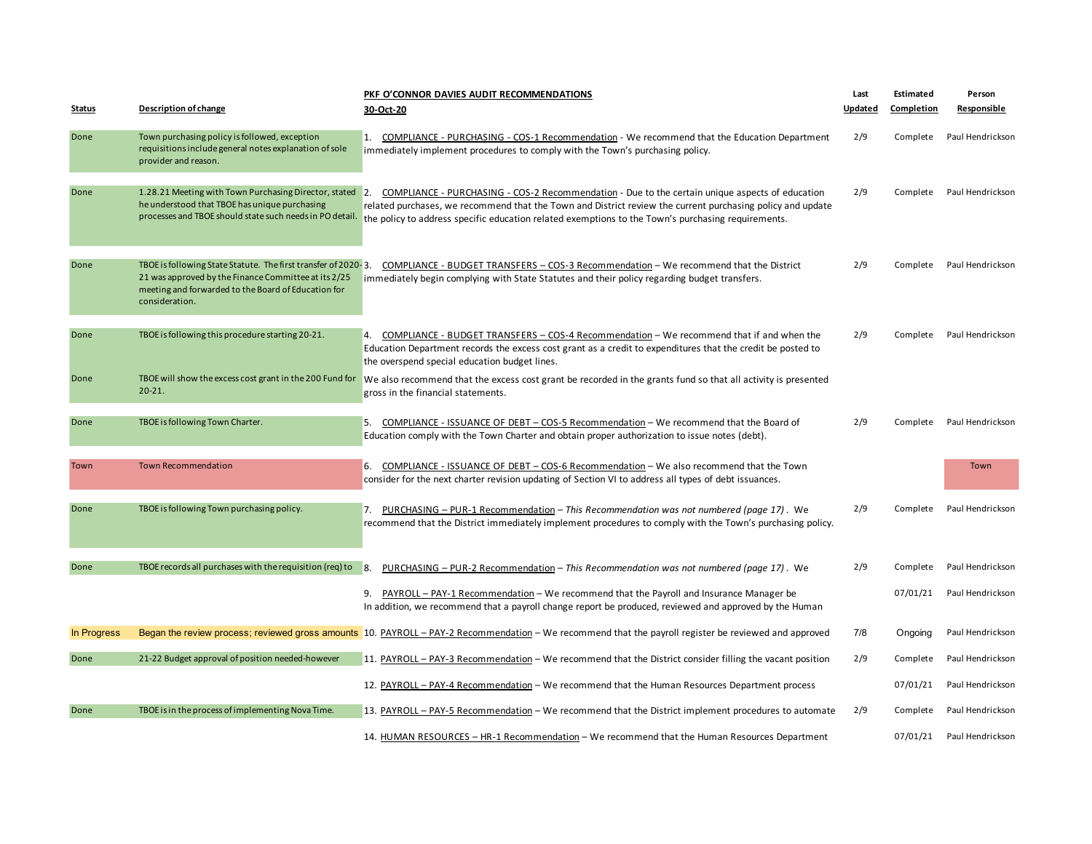|               |                                                                                                                                                                                                 | PKF O'CONNOR DAVIES AUDIT RECOMMENDATIONS                                                                                                                                                                                                                                                                              | Last    | Estimated         | Person           |
|---------------|-------------------------------------------------------------------------------------------------------------------------------------------------------------------------------------------------|------------------------------------------------------------------------------------------------------------------------------------------------------------------------------------------------------------------------------------------------------------------------------------------------------------------------|---------|-------------------|------------------|
| <b>Status</b> | <b>Description of change</b>                                                                                                                                                                    | 30-Oct-20                                                                                                                                                                                                                                                                                                              | Updated | <b>Completion</b> | Responsible      |
| Done          | Town purchasing policy is followed, exception<br>requisitions include general notes explanation of sole<br>provider and reason.                                                                 | 1. COMPLIANCE - PURCHASING - COS-1 Recommendation - We recommend that the Education Department<br>immediately implement procedures to comply with the Town's purchasing policy.                                                                                                                                        | 2/9     | Complete          | Paul Hendrickson |
| Done          | 1.28.21 Meeting with Town Purchasing Director, stated<br>he understood that TBOE has unique purchasing<br>processes and TBOE should state such needs in PO detail.                              | 2. COMPLIANCE - PURCHASING - COS-2 Recommendation - Due to the certain unique aspects of education<br>related purchases, we recommend that the Town and District review the current purchasing policy and update<br>the policy to address specific education related exemptions to the Town's purchasing requirements. | 2/9     | Complete          | Paul Hendrickson |
| Done          | TBOE is following State Statute. The first transfer of 2020-3.<br>21 was approved by the Finance Committee at its 2/25<br>meeting and forwarded to the Board of Education for<br>consideration. | COMPLIANCE - BUDGET TRANSFERS - COS-3 Recommendation - We recommend that the District<br>immediately begin complying with State Statutes and their policy regarding budget transfers.                                                                                                                                  | 2/9     | Complete          | Paul Hendrickson |
| Done          | TBOE is following this procedure starting 20-21.                                                                                                                                                | 4. COMPLIANCE - BUDGET TRANSFERS - COS-4 Recommendation - We recommend that if and when the<br>Education Department records the excess cost grant as a credit to expenditures that the credit be posted to<br>the overspend special education budget lines.                                                            | 2/9     | Complete          | Paul Hendrickson |
| Done          | TBOE will show the excess cost grant in the 200 Fund for<br>$20 - 21.$                                                                                                                          | We also recommend that the excess cost grant be recorded in the grants fund so that all activity is presented<br>gross in the financial statements.                                                                                                                                                                    |         |                   |                  |
| Done          | TBOE is following Town Charter.                                                                                                                                                                 | COMPLIANCE - ISSUANCE OF DEBT - COS-5 Recommendation - We recommend that the Board of<br>5.<br>Education comply with the Town Charter and obtain proper authorization to issue notes (debt).                                                                                                                           | 2/9     | Complete          | Paul Hendrickson |
| Town          | <b>Town Recommendation</b>                                                                                                                                                                      | 6. COMPLIANCE - ISSUANCE OF DEBT - COS-6 Recommendation - We also recommend that the Town<br>consider for the next charter revision updating of Section VI to address all types of debt issuances.                                                                                                                     |         |                   | Town             |
| Done          | TBOE is following Town purchasing policy.                                                                                                                                                       | PURCHASING – PUR-1 Recommendation – This Recommendation was not numbered (page 17). We<br>7.<br>recommend that the District immediately implement procedures to comply with the Town's purchasing policy.                                                                                                              | 2/9     | Complete          | Paul Hendrickson |
| Done          | TBOE records all purchases with the requisition (req) to                                                                                                                                        | PURCHASING - PUR-2 Recommendation - This Recommendation was not numbered (page 17). We<br>8.                                                                                                                                                                                                                           | 2/9     | Complete          | Paul Hendrickson |
|               |                                                                                                                                                                                                 | PAYROLL - PAY-1 Recommendation - We recommend that the Payroll and Insurance Manager be<br>9.<br>In addition, we recommend that a payroll change report be produced, reviewed and approved by the Human                                                                                                                |         | 07/01/21          | Paul Hendrickson |
| In Progress   |                                                                                                                                                                                                 | Began the review process; reviewed gross amounts 10. PAYROLL – PAY-2 Recommendation – We recommend that the payroll register be reviewed and approved                                                                                                                                                                  | 7/8     | Ongoing           | Paul Hendrickson |
| Done          | 21-22 Budget approval of position needed-however                                                                                                                                                | 11. PAYROLL – PAY-3 Recommendation – We recommend that the District consider filling the vacant position                                                                                                                                                                                                               | 2/9     | Complete          | Paul Hendrickson |
|               |                                                                                                                                                                                                 | 12. PAYROLL - PAY-4 Recommendation - We recommend that the Human Resources Department process                                                                                                                                                                                                                          |         | 07/01/21          | Paul Hendrickson |
| Done          | TBOE is in the process of implementing Nova Time.                                                                                                                                               | 13. PAYROLL - PAY-5 Recommendation - We recommend that the District implement procedures to automate                                                                                                                                                                                                                   | 2/9     | Complete          | Paul Hendrickson |
|               |                                                                                                                                                                                                 | 14. HUMAN RESOURCES - HR-1 Recommendation - We recommend that the Human Resources Department                                                                                                                                                                                                                           |         | 07/01/21          | Paul Hendrickson |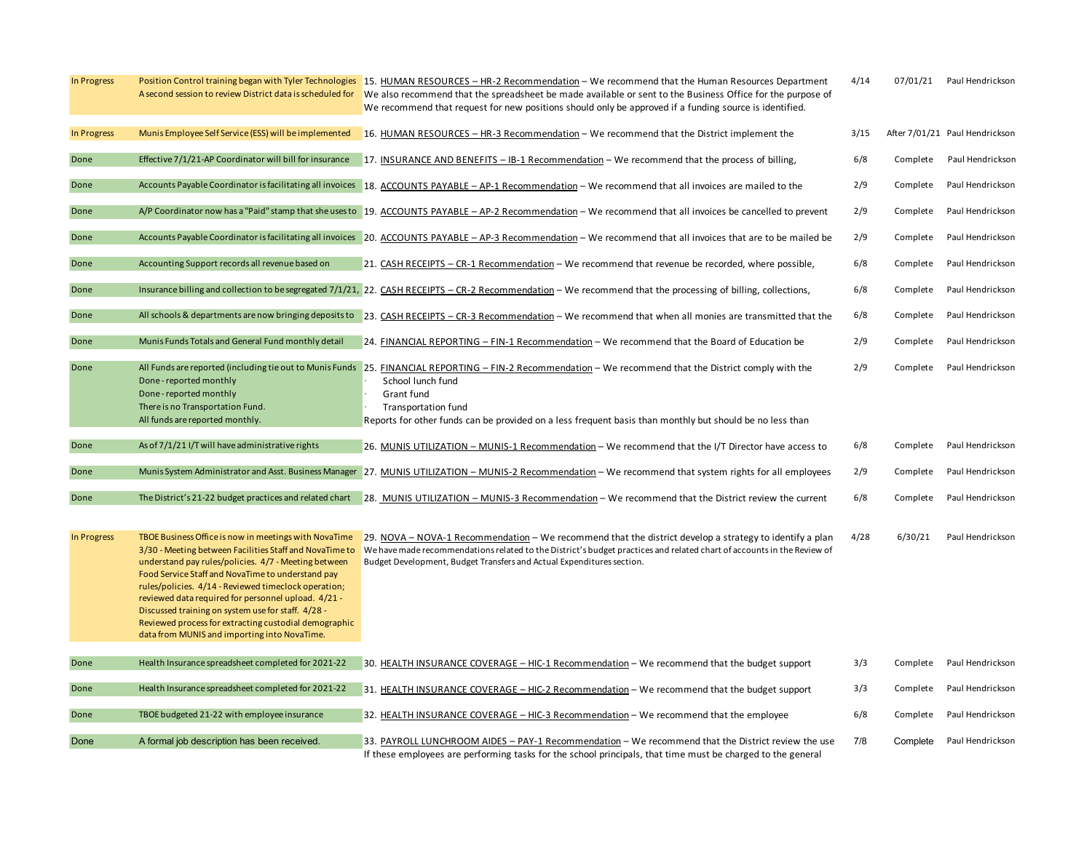| In Progress | Position Control training began with Tyler Technologies<br>A second session to review District data is scheduled for                                                                                                                                                                                                                                                                                                                                                                                        | 15. HUMAN RESOURCES - HR-2 Recommendation - We recommend that the Human Resources Department<br>We also recommend that the spreadsheet be made available or sent to the Business Office for the purpose of<br>We recommend that request for new positions should only be approved if a funding source is identified. | 4/14 | 07/01/21 | Paul Hendrickson               |
|-------------|-------------------------------------------------------------------------------------------------------------------------------------------------------------------------------------------------------------------------------------------------------------------------------------------------------------------------------------------------------------------------------------------------------------------------------------------------------------------------------------------------------------|----------------------------------------------------------------------------------------------------------------------------------------------------------------------------------------------------------------------------------------------------------------------------------------------------------------------|------|----------|--------------------------------|
| In Progress | Munis Employee Self Service (ESS) will be implemented                                                                                                                                                                                                                                                                                                                                                                                                                                                       | 16. HUMAN RESOURCES - HR-3 Recommendation - We recommend that the District implement the                                                                                                                                                                                                                             | 3/15 |          | After 7/01/21 Paul Hendrickson |
| Done        | Effective 7/1/21-AP Coordinator will bill for insurance                                                                                                                                                                                                                                                                                                                                                                                                                                                     | 17. INSURANCE AND BENEFITS - IB-1 Recommendation - We recommend that the process of billing,                                                                                                                                                                                                                         | 6/8  | Complete | Paul Hendrickson               |
| Done        |                                                                                                                                                                                                                                                                                                                                                                                                                                                                                                             | Accounts Payable Coordinator is facilitating all invoices 18. ACCOUNTS PAYABLE - AP-1 Recommendation - We recommend that all invoices are mailed to the                                                                                                                                                              | 2/9  | Complete | Paul Hendrickson               |
| Done        |                                                                                                                                                                                                                                                                                                                                                                                                                                                                                                             | A/P Coordinator now has a "Paid" stamp that she uses to 19. ACCOUNTS PAYABLE - AP-2 Recommendation - We recommend that all invoices be cancelled to prevent                                                                                                                                                          | 2/9  | Complete | Paul Hendrickson               |
| Done        |                                                                                                                                                                                                                                                                                                                                                                                                                                                                                                             | Accounts Payable Coordinator is facilitating all invoices   20. ACCOUNTS PAYABLE - AP-3 Recommendation - We recommend that all invoices that are to be mailed be                                                                                                                                                     | 2/9  | Complete | Paul Hendrickson               |
| Done        | Accounting Support records all revenue based on                                                                                                                                                                                                                                                                                                                                                                                                                                                             | 21. CASH RECEIPTS - CR-1 Recommendation - We recommend that revenue be recorded, where possible,                                                                                                                                                                                                                     | 6/8  | Complete | Paul Hendrickson               |
| Done        |                                                                                                                                                                                                                                                                                                                                                                                                                                                                                                             | Insurance billing and collection to be segregated 7/1/21, 22. CASH RECEIPTS - CR-2 Recommendation - We recommend that the processing of billing, collections,                                                                                                                                                        | 6/8  | Complete | Paul Hendrickson               |
| Done        |                                                                                                                                                                                                                                                                                                                                                                                                                                                                                                             | All schools & departments are now bringing deposits to 23. CASH RECEIPTS - CR-3 Recommendation - We recommend that when all monies are transmitted that the                                                                                                                                                          | 6/8  | Complete | Paul Hendrickson               |
| Done        | Munis Funds Totals and General Fund monthly detail                                                                                                                                                                                                                                                                                                                                                                                                                                                          | 24. FINANCIAL REPORTING - FIN-1 Recommendation - We recommend that the Board of Education be                                                                                                                                                                                                                         | 2/9  | Complete | Paul Hendrickson               |
| Done        | Done-reported monthly<br>Done - reported monthly<br>There is no Transportation Fund.                                                                                                                                                                                                                                                                                                                                                                                                                        | All Funds are reported (including tie out to Munis Funds 25. FINANCIAL REPORTING - FIN-2 Recommendation - We recommend that the District comply with the<br>School lunch fund<br>Grant fund<br><b>Transportation fund</b>                                                                                            | 2/9  | Complete | Paul Hendrickson               |
|             | All funds are reported monthly.                                                                                                                                                                                                                                                                                                                                                                                                                                                                             | Reports for other funds can be provided on a less frequent basis than monthly but should be no less than                                                                                                                                                                                                             |      |          |                                |
| Done        | As of 7/1/21 I/T will have administrative rights                                                                                                                                                                                                                                                                                                                                                                                                                                                            | 26. MUNIS UTILIZATION - MUNIS-1 Recommendation - We recommend that the I/T Director have access to                                                                                                                                                                                                                   | 6/8  | Complete | Paul Hendrickson               |
| Done        |                                                                                                                                                                                                                                                                                                                                                                                                                                                                                                             | Munis System Administrator and Asst. Business Manager 27. MUNIS UTILIZATION - MUNIS-2 Recommendation - We recommend that system rights for all employees                                                                                                                                                             | 2/9  | Complete | Paul Hendrickson               |
| Done        | The District's 21-22 budget practices and related chart                                                                                                                                                                                                                                                                                                                                                                                                                                                     | 28. MUNIS UTILIZATION - MUNIS-3 Recommendation - We recommend that the District review the current                                                                                                                                                                                                                   | 6/8  | Complete | Paul Hendrickson               |
| In Progress | TBOE Business Office is now in meetings with NovaTime<br>3/30 - Meeting between Facilities Staff and NovaTime to<br>understand pay rules/policies. 4/7 - Meeting between<br>Food Service Staff and NovaTime to understand pay<br>rules/policies. 4/14 - Reviewed timeclock operation;<br>reviewed data required for personnel upload. 4/21 -<br>Discussed training on system use for staff. 4/28 -<br>Reviewed process for extracting custodial demographic<br>data from MUNIS and importing into NovaTime. | 29. NOVA - NOVA-1 Recommendation - We recommend that the district develop a strategy to identify a plan<br>We have made recommendations related to the District's budget practices and related chart of accounts in the Review of<br>Budget Development, Budget Transfers and Actual Expenditures section.           | 4/28 | 6/30/21  | Paul Hendrickson               |
| Done        | Health Insurance spreadsheet completed for 2021-22                                                                                                                                                                                                                                                                                                                                                                                                                                                          | 30. HEALTH INSURANCE COVERAGE - HIC-1 Recommendation - We recommend that the budget support                                                                                                                                                                                                                          | 3/3  | Complete | Paul Hendrickson               |
| Done        | Health Insurance spreadsheet completed for 2021-22                                                                                                                                                                                                                                                                                                                                                                                                                                                          | 31. HEALTH INSURANCE COVERAGE - HIC-2 Recommendation - We recommend that the budget support                                                                                                                                                                                                                          | 3/3  | Complete | Paul Hendrickson               |
| Done        | TBOE budgeted 21-22 with employee insurance                                                                                                                                                                                                                                                                                                                                                                                                                                                                 | 32. HEALTH INSURANCE COVERAGE - HIC-3 Recommendation - We recommend that the employee                                                                                                                                                                                                                                | 6/8  | Complete | Paul Hendrickson               |
| Done        | A formal job description has been received.                                                                                                                                                                                                                                                                                                                                                                                                                                                                 | 33. PAYROLL LUNCHROOM AIDES - PAY-1 Recommendation - We recommend that the District review the use<br>If these employees are performing tasks for the school principals, that time must be charged to the general                                                                                                    | 7/8  | Complete | Paul Hendrickson               |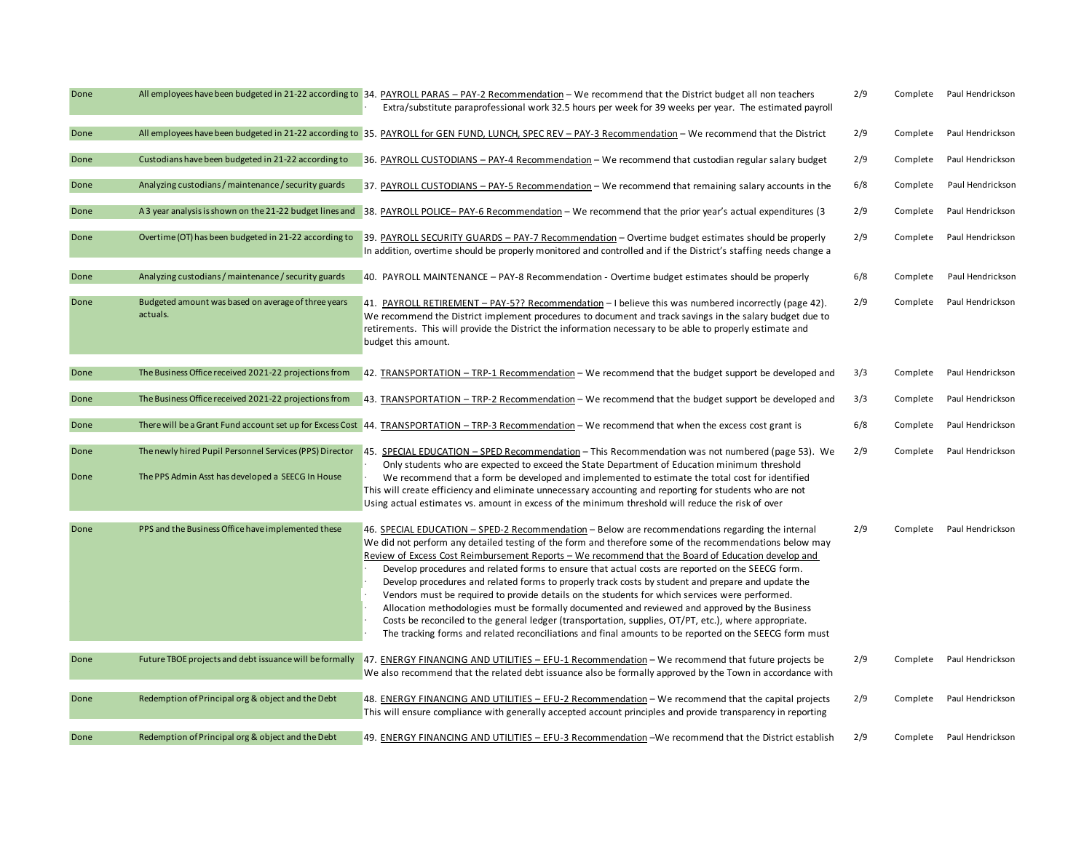| Done |                                                                 | All employees have been budgeted in 21-22 according to 34. PAYROLL PARAS - PAY-2 Recommendation - We recommend that the District budget all non teachers<br>Extra/substitute paraprofessional work 32.5 hours per week for 39 weeks per year. The estimated payroll                                                                                                                                                                                                                                                                                                                                                                                                                                                                                                                                                                                                                                                                                | 2/9 | Complete | Paul Hendrickson |
|------|-----------------------------------------------------------------|----------------------------------------------------------------------------------------------------------------------------------------------------------------------------------------------------------------------------------------------------------------------------------------------------------------------------------------------------------------------------------------------------------------------------------------------------------------------------------------------------------------------------------------------------------------------------------------------------------------------------------------------------------------------------------------------------------------------------------------------------------------------------------------------------------------------------------------------------------------------------------------------------------------------------------------------------|-----|----------|------------------|
| Done |                                                                 | All employees have been budgeted in 21-22 according to 35. PAYROLL for GEN FUND, LUNCH, SPEC REV - PAY-3 Recommendation - We recommend that the District                                                                                                                                                                                                                                                                                                                                                                                                                                                                                                                                                                                                                                                                                                                                                                                           | 2/9 | Complete | Paul Hendrickson |
| Done | Custodians have been budgeted in 21-22 according to             | 36. PAYROLL CUSTODIANS - PAY-4 Recommendation - We recommend that custodian regular salary budget                                                                                                                                                                                                                                                                                                                                                                                                                                                                                                                                                                                                                                                                                                                                                                                                                                                  | 2/9 | Complete | Paul Hendrickson |
| Done | Analyzing custodians / maintenance / security guards            | 37. PAYROLL CUSTODIANS - PAY-5 Recommendation - We recommend that remaining salary accounts in the                                                                                                                                                                                                                                                                                                                                                                                                                                                                                                                                                                                                                                                                                                                                                                                                                                                 | 6/8 | Complete | Paul Hendrickson |
| Done | A 3 year analysis is shown on the 21-22 budget lines and        | 38. PAYROLL POLICE-PAY-6 Recommendation - We recommend that the prior year's actual expenditures (3                                                                                                                                                                                                                                                                                                                                                                                                                                                                                                                                                                                                                                                                                                                                                                                                                                                | 2/9 | Complete | Paul Hendrickson |
| Done | Overtime (OT) has been budgeted in 21-22 according to           | 39. PAYROLL SECURITY GUARDS - PAY-7 Recommendation - Overtime budget estimates should be properly<br>In addition, overtime should be properly monitored and controlled and if the District's staffing needs change a                                                                                                                                                                                                                                                                                                                                                                                                                                                                                                                                                                                                                                                                                                                               | 2/9 | Complete | Paul Hendrickson |
| Done | Analyzing custodians / maintenance / security guards            | 40. PAYROLL MAINTENANCE - PAY-8 Recommendation - Overtime budget estimates should be properly                                                                                                                                                                                                                                                                                                                                                                                                                                                                                                                                                                                                                                                                                                                                                                                                                                                      | 6/8 | Complete | Paul Hendrickson |
| Done | Budgeted amount was based on average of three years<br>actuals. | 41. PAYROLL RETIREMENT – PAY-5?? Recommendation – I believe this was numbered incorrectly (page 42).<br>We recommend the District implement procedures to document and track savings in the salary budget due to<br>retirements. This will provide the District the information necessary to be able to properly estimate and<br>budget this amount.                                                                                                                                                                                                                                                                                                                                                                                                                                                                                                                                                                                               | 2/9 | Complete | Paul Hendrickson |
| Done | The Business Office received 2021-22 projections from           | 42. TRANSPORTATION - TRP-1 Recommendation - We recommend that the budget support be developed and                                                                                                                                                                                                                                                                                                                                                                                                                                                                                                                                                                                                                                                                                                                                                                                                                                                  | 3/3 | Complete | Paul Hendrickson |
| Done | The Business Office received 2021-22 projections from           | 43. TRANSPORTATION - TRP-2 Recommendation - We recommend that the budget support be developed and                                                                                                                                                                                                                                                                                                                                                                                                                                                                                                                                                                                                                                                                                                                                                                                                                                                  | 3/3 | Complete | Paul Hendrickson |
| Done |                                                                 | There will be a Grant Fund account set up for Excess Cost 44. TRANSPORTATION - TRP-3 Recommendation - We recommend that when the excess cost grant is                                                                                                                                                                                                                                                                                                                                                                                                                                                                                                                                                                                                                                                                                                                                                                                              | 6/8 | Complete | Paul Hendrickson |
| Done |                                                                 | The newly hired Pupil Personnel Services (PPS) Director 45. SPECIAL EDUCATION - SPED Recommendation - This Recommendation was not numbered (page 53). We<br>Only students who are expected to exceed the State Department of Education minimum threshold                                                                                                                                                                                                                                                                                                                                                                                                                                                                                                                                                                                                                                                                                           | 2/9 | Complete | Paul Hendrickson |
| Done | The PPS Admin Asst has developed a SEECG In House               | We recommend that a form be developed and implemented to estimate the total cost for identified<br>This will create efficiency and eliminate unnecessary accounting and reporting for students who are not<br>Using actual estimates vs. amount in excess of the minimum threshold will reduce the risk of over                                                                                                                                                                                                                                                                                                                                                                                                                                                                                                                                                                                                                                    |     |          |                  |
| Done | PPS and the Business Office have implemented these              | 46. SPECIAL EDUCATION - SPED-2 Recommendation - Below are recommendations regarding the internal<br>We did not perform any detailed testing of the form and therefore some of the recommendations below may<br>Review of Excess Cost Reimbursement Reports - We recommend that the Board of Education develop and<br>Develop procedures and related forms to ensure that actual costs are reported on the SEECG form.<br>Develop procedures and related forms to properly track costs by student and prepare and update the<br>Vendors must be required to provide details on the students for which services were performed.<br>Allocation methodologies must be formally documented and reviewed and approved by the Business<br>Costs be reconciled to the general ledger (transportation, supplies, OT/PT, etc.), where appropriate.<br>The tracking forms and related reconciliations and final amounts to be reported on the SEECG form must | 2/9 | Complete | Paul Hendrickson |
| Done | Future TBOE projects and debt issuance will be formally         | 47. ENERGY FINANCING AND UTILITIES - EFU-1 Recommendation - We recommend that future projects be<br>We also recommend that the related debt issuance also be formally approved by the Town in accordance with                                                                                                                                                                                                                                                                                                                                                                                                                                                                                                                                                                                                                                                                                                                                      | 2/9 | Complete | Paul Hendrickson |
| Done | Redemption of Principal org & object and the Debt               | 48. ENERGY FINANCING AND UTILITIES - EFU-2 Recommendation - We recommend that the capital projects<br>This will ensure compliance with generally accepted account principles and provide transparency in reporting                                                                                                                                                                                                                                                                                                                                                                                                                                                                                                                                                                                                                                                                                                                                 | 2/9 | Complete | Paul Hendrickson |
| Done | Redemption of Principal org & object and the Debt               | 49. ENERGY FINANCING AND UTILITIES - EFU-3 Recommendation - We recommend that the District establish                                                                                                                                                                                                                                                                                                                                                                                                                                                                                                                                                                                                                                                                                                                                                                                                                                               | 2/9 | Complete | Paul Hendrickson |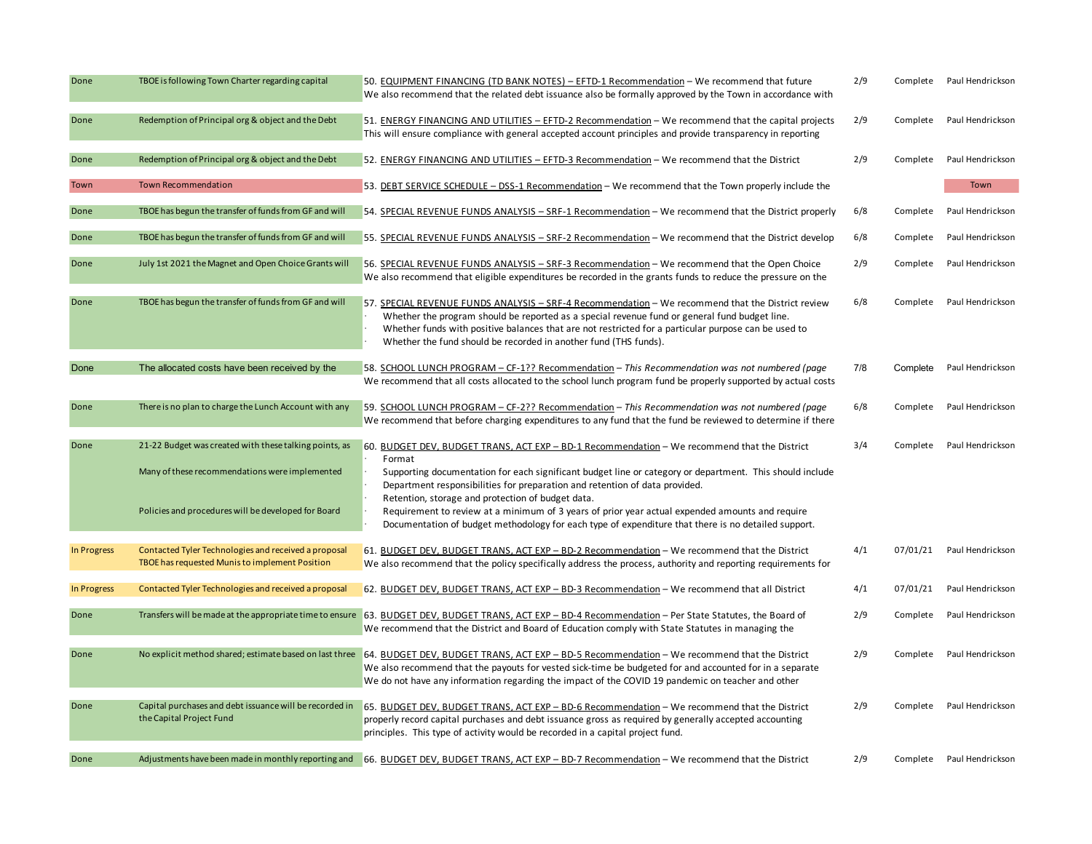| Done        | TBOE is following Town Charter regarding capital                                                                                                                | 50. EQUIPMENT FINANCING (TD BANK NOTES) - EFTD-1 Recommendation - We recommend that future<br>We also recommend that the related debt issuance also be formally approved by the Town in accordance with                                                                                                                                                                                                                                                                                                                                                          | 2/9 | Complete | Paul Hendrickson          |
|-------------|-----------------------------------------------------------------------------------------------------------------------------------------------------------------|------------------------------------------------------------------------------------------------------------------------------------------------------------------------------------------------------------------------------------------------------------------------------------------------------------------------------------------------------------------------------------------------------------------------------------------------------------------------------------------------------------------------------------------------------------------|-----|----------|---------------------------|
| Done        | Redemption of Principal org & object and the Debt                                                                                                               | 51. ENERGY FINANCING AND UTILITIES - EFTD-2 Recommendation - We recommend that the capital projects<br>This will ensure compliance with general accepted account principles and provide transparency in reporting                                                                                                                                                                                                                                                                                                                                                | 2/9 | Complete | Paul Hendrickson          |
| Done        | Redemption of Principal org & object and the Debt                                                                                                               | 52. ENERGY FINANCING AND UTILITIES - EFTD-3 Recommendation - We recommend that the District                                                                                                                                                                                                                                                                                                                                                                                                                                                                      | 2/9 | Complete | Paul Hendrickson          |
| Town        | Town Recommendation                                                                                                                                             | 53. DEBT SERVICE SCHEDULE - DSS-1 Recommendation - We recommend that the Town properly include the                                                                                                                                                                                                                                                                                                                                                                                                                                                               |     |          | Town                      |
| Done        | TBOE has begun the transfer of funds from GF and will                                                                                                           | 54. SPECIAL REVENUE FUNDS ANALYSIS - SRF-1 Recommendation - We recommend that the District properly                                                                                                                                                                                                                                                                                                                                                                                                                                                              | 6/8 | Complete | Paul Hendrickson          |
| Done        | TBOE has begun the transfer of funds from GF and will                                                                                                           | 55. SPECIAL REVENUE FUNDS ANALYSIS - SRF-2 Recommendation - We recommend that the District develop                                                                                                                                                                                                                                                                                                                                                                                                                                                               | 6/8 | Complete | Paul Hendrickson          |
| Done        | July 1st 2021 the Magnet and Open Choice Grants will                                                                                                            | 56. SPECIAL REVENUE FUNDS ANALYSIS - SRF-3 Recommendation - We recommend that the Open Choice<br>We also recommend that eligible expenditures be recorded in the grants funds to reduce the pressure on the                                                                                                                                                                                                                                                                                                                                                      | 2/9 | Complete | Paul Hendrickson          |
| Done        | TBOE has begun the transfer of funds from GF and will                                                                                                           | 57. SPECIAL REVENUE FUNDS ANALYSIS - SRF-4 Recommendation - We recommend that the District review<br>Whether the program should be reported as a special revenue fund or general fund budget line.<br>Whether funds with positive balances that are not restricted for a particular purpose can be used to<br>Whether the fund should be recorded in another fund (THS funds).                                                                                                                                                                                   | 6/8 | Complete | Paul Hendrickson          |
| Done        | The allocated costs have been received by the                                                                                                                   | 58. SCHOOL LUNCH PROGRAM - CF-1?? Recommendation - This Recommendation was not numbered (page<br>We recommend that all costs allocated to the school lunch program fund be properly supported by actual costs                                                                                                                                                                                                                                                                                                                                                    | 7/8 | Complete | Paul Hendrickson          |
| Done        | There is no plan to charge the Lunch Account with any                                                                                                           | 59. SCHOOL LUNCH PROGRAM - CF-2?? Recommendation - This Recommendation was not numbered (page<br>We recommend that before charging expenditures to any fund that the fund be reviewed to determine if there                                                                                                                                                                                                                                                                                                                                                      | 6/8 | Complete | Paul Hendrickson          |
| Done        | 21-22 Budget was created with these talking points, as<br>Many of these recommendations were implemented<br>Policies and procedures will be developed for Board | 60. BUDGET DEV, BUDGET TRANS, ACT EXP - BD-1 Recommendation - We recommend that the District<br>Format<br>Supporting documentation for each significant budget line or category or department. This should include<br>Department responsibilities for preparation and retention of data provided.<br>Retention, storage and protection of budget data.<br>Requirement to review at a minimum of 3 years of prior year actual expended amounts and require<br>Documentation of budget methodology for each type of expenditure that there is no detailed support. | 3/4 | Complete | Paul Hendrickson          |
| In Progress | Contacted Tyler Technologies and received a proposal<br>TBOE has requested Munis to implement Position                                                          | 61. BUDGET DEV, BUDGET TRANS, ACT EXP - BD-2 Recommendation - We recommend that the District<br>We also recommend that the policy specifically address the process, authority and reporting requirements for                                                                                                                                                                                                                                                                                                                                                     | 4/1 |          | 07/01/21 Paul Hendrickson |
| In Progress | Contacted Tyler Technologies and received a proposal                                                                                                            | 62. BUDGET DEV, BUDGET TRANS, ACT EXP - BD-3 Recommendation - We recommend that all District                                                                                                                                                                                                                                                                                                                                                                                                                                                                     | 4/1 | 07/01/21 | Paul Hendrickson          |
| Done        | Transfers will be made at the appropriate time to ensure                                                                                                        | 63. BUDGET DEV, BUDGET TRANS, ACT EXP - BD-4 Recommendation - Per State Statutes, the Board of<br>We recommend that the District and Board of Education comply with State Statutes in managing the                                                                                                                                                                                                                                                                                                                                                               | 2/9 | Complete | Paul Hendrickson          |
| Done        | No explicit method shared; estimate based on last three                                                                                                         | 64. BUDGET DEV, BUDGET TRANS, ACT EXP - BD-5 Recommendation - We recommend that the District<br>We also recommend that the payouts for vested sick-time be budgeted for and accounted for in a separate<br>We do not have any information regarding the impact of the COVID 19 pandemic on teacher and other                                                                                                                                                                                                                                                     | 2/9 | Complete | Paul Hendrickson          |
| Done        | Capital purchases and debt issuance will be recorded in<br>the Capital Project Fund                                                                             | 65. BUDGET DEV, BUDGET TRANS, ACT EXP - BD-6 Recommendation - We recommend that the District<br>properly record capital purchases and debt issuance gross as required by generally accepted accounting<br>principles. This type of activity would be recorded in a capital project fund.                                                                                                                                                                                                                                                                         | 2/9 | Complete | Paul Hendrickson          |
| Done        | Adjustments have been made in monthly reporting and                                                                                                             | 66. BUDGET DEV, BUDGET TRANS, ACT EXP - BD-7 Recommendation - We recommend that the District                                                                                                                                                                                                                                                                                                                                                                                                                                                                     | 2/9 |          | Complete Paul Hendrickson |